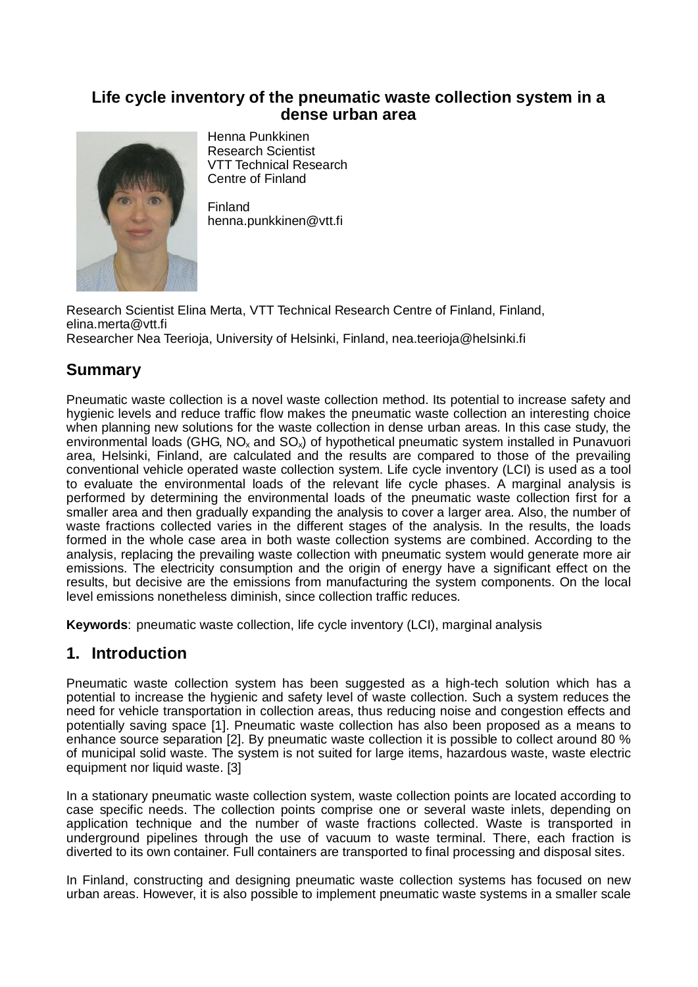## **Life cycle inventory of the pneumatic waste collection system in a dense urban area**



Henna Punkkinen Research Scientist VTT Technical Research Centre of Finland

Finland henna.punkkinen@vtt.fi

Research Scientist Elina Merta, VTT Technical Research Centre of Finland, Finland, elina.merta@vtt.fi Researcher Nea Teerioja, University of Helsinki, Finland, nea.teerioja@helsinki.fi

# **Summary**

Pneumatic waste collection is a novel waste collection method. Its potential to increase safety and hygienic levels and reduce traffic flow makes the pneumatic waste collection an interesting choice when planning new solutions for the waste collection in dense urban areas. In this case study, the environmental loads (GHG,  $NO<sub>x</sub>$  and  $SO<sub>x</sub>$ ) of hypothetical pneumatic system installed in Punavuori area, Helsinki, Finland, are calculated and the results are compared to those of the prevailing conventional vehicle operated waste collection system. Life cycle inventory (LCI) is used as a tool to evaluate the environmental loads of the relevant life cycle phases. A marginal analysis is performed by determining the environmental loads of the pneumatic waste collection first for a smaller area and then gradually expanding the analysis to cover a larger area. Also, the number of waste fractions collected varies in the different stages of the analysis. In the results, the loads formed in the whole case area in both waste collection systems are combined. According to the analysis, replacing the prevailing waste collection with pneumatic system would generate more air emissions. The electricity consumption and the origin of energy have a significant effect on the results, but decisive are the emissions from manufacturing the system components. On the local level emissions nonetheless diminish, since collection traffic reduces.

**Keywords**: pneumatic waste collection, life cycle inventory (LCI), marginal analysis

# **1. Introduction**

Pneumatic waste collection system has been suggested as a high-tech solution which has a potential to increase the hygienic and safety level of waste collection. Such a system reduces the need for vehicle transportation in collection areas, thus reducing noise and congestion effects and potentially saving space [1]. Pneumatic waste collection has also been proposed as a means to enhance source separation [2]. By pneumatic waste collection it is possible to collect around 80 % of municipal solid waste. The system is not suited for large items, hazardous waste, waste electric equipment nor liquid waste. [3]

In a stationary pneumatic waste collection system, waste collection points are located according to case specific needs. The collection points comprise one or several waste inlets, depending on application technique and the number of waste fractions collected. Waste is transported in underground pipelines through the use of vacuum to waste terminal. There, each fraction is diverted to its own container. Full containers are transported to final processing and disposal sites.

In Finland, constructing and designing pneumatic waste collection systems has focused on new urban areas. However, it is also possible to implement pneumatic waste systems in a smaller scale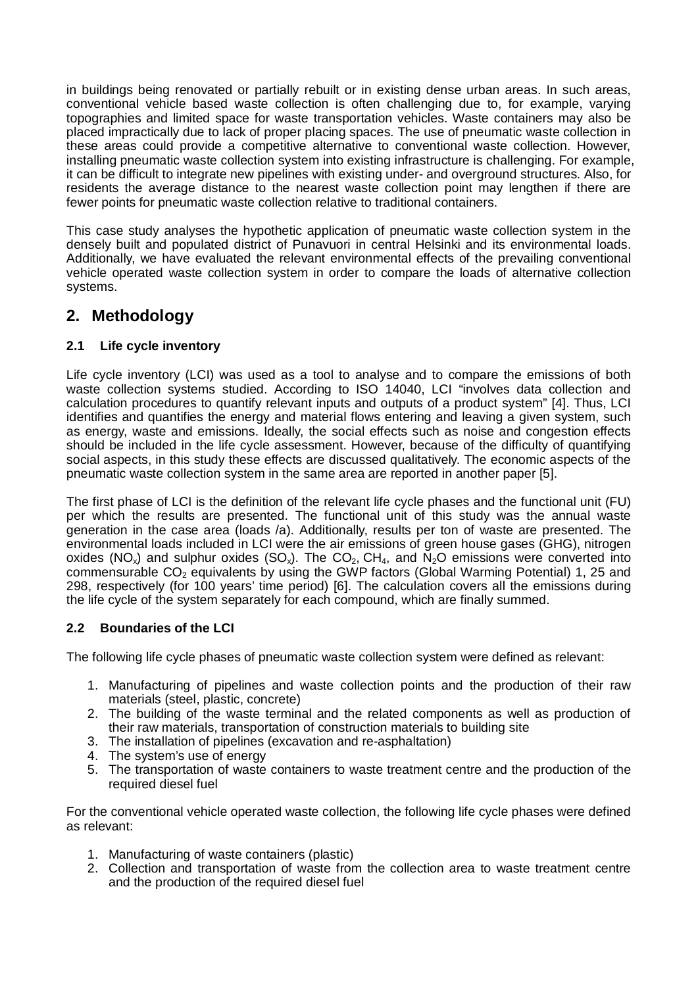in buildings being renovated or partially rebuilt or in existing dense urban areas. In such areas, conventional vehicle based waste collection is often challenging due to, for example, varying topographies and limited space for waste transportation vehicles. Waste containers may also be placed impractically due to lack of proper placing spaces. The use of pneumatic waste collection in these areas could provide a competitive alternative to conventional waste collection. However, installing pneumatic waste collection system into existing infrastructure is challenging. For example, it can be difficult to integrate new pipelines with existing under- and overground structures. Also, for residents the average distance to the nearest waste collection point may lengthen if there are fewer points for pneumatic waste collection relative to traditional containers.

This case study analyses the hypothetic application of pneumatic waste collection system in the densely built and populated district of Punavuori in central Helsinki and its environmental loads. Additionally, we have evaluated the relevant environmental effects of the prevailing conventional vehicle operated waste collection system in order to compare the loads of alternative collection systems.

# **2. Methodology**

### **2.1 Life cycle inventory**

Life cycle inventory (LCI) was used as a tool to analyse and to compare the emissions of both waste collection systems studied. According to ISO 14040, LCI "involves data collection and calculation procedures to quantify relevant inputs and outputs of a product system" [4]. Thus, LCI identifies and quantifies the energy and material flows entering and leaving a given system, such as energy, waste and emissions. Ideally, the social effects such as noise and congestion effects should be included in the life cycle assessment. However, because of the difficulty of quantifying social aspects, in this study these effects are discussed qualitatively. The economic aspects of the pneumatic waste collection system in the same area are reported in another paper [5].

The first phase of LCI is the definition of the relevant life cycle phases and the functional unit (FU) per which the results are presented. The functional unit of this study was the annual waste generation in the case area (loads /a). Additionally, results per ton of waste are presented. The environmental loads included in LCI were the air emissions of green house gases (GHG), nitrogen oxides (NO<sub>x</sub>) and sulphur oxides (SO<sub>x</sub>). The CO<sub>2</sub>, CH<sub>4</sub>, and N<sub>2</sub>O emissions were converted into commensurable  $CO<sub>2</sub>$  equivalents by using the GWP factors (Global Warming Potential) 1, 25 and 298, respectively (for 100 years' time period) [6]. The calculation covers all the emissions during the life cycle of the system separately for each compound, which are finally summed.

### **2.2 Boundaries of the LCI**

The following life cycle phases of pneumatic waste collection system were defined as relevant:

- 1. Manufacturing of pipelines and waste collection points and the production of their raw materials (steel, plastic, concrete)
- 2. The building of the waste terminal and the related components as well as production of their raw materials, transportation of construction materials to building site
- 3. The installation of pipelines (excavation and re-asphaltation)
- 4. The system's use of energy
- 5. The transportation of waste containers to waste treatment centre and the production of the required diesel fuel

For the conventional vehicle operated waste collection, the following life cycle phases were defined as relevant:

- 1. Manufacturing of waste containers (plastic)
- 2. Collection and transportation of waste from the collection area to waste treatment centre and the production of the required diesel fuel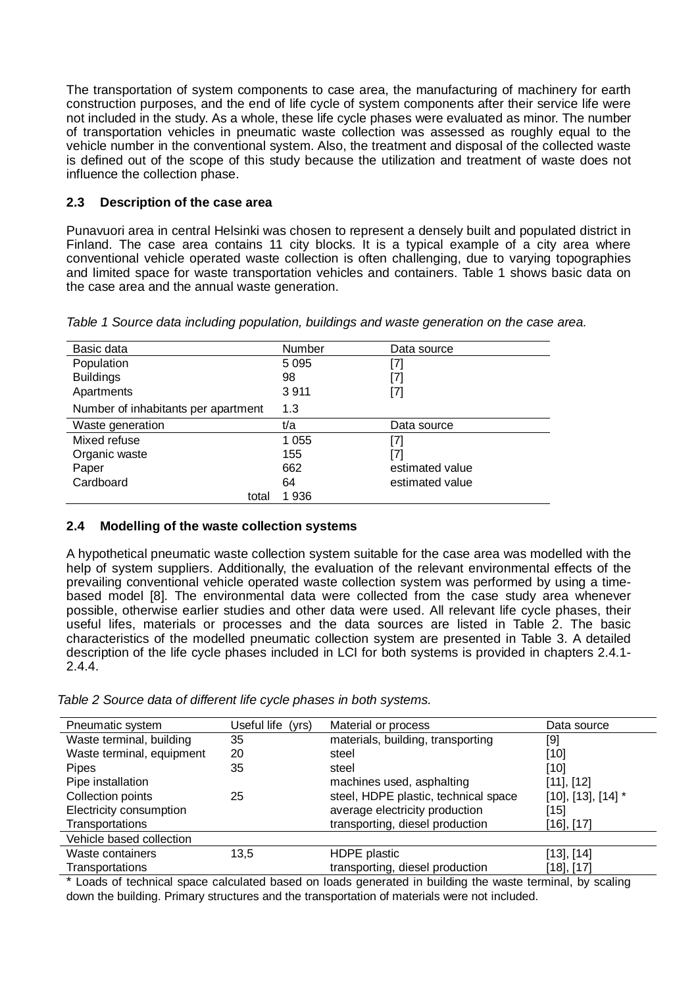The transportation of system components to case area, the manufacturing of machinery for earth construction purposes, and the end of life cycle of system components after their service life were not included in the study. As a whole, these life cycle phases were evaluated as minor. The number of transportation vehicles in pneumatic waste collection was assessed as roughly equal to the vehicle number in the conventional system. Also, the treatment and disposal of the collected waste is defined out of the scope of this study because the utilization and treatment of waste does not influence the collection phase.

### **2.3 Description of the case area**

Punavuori area in central Helsinki was chosen to represent a densely built and populated district in Finland. The case area contains 11 city blocks. It is a typical example of a city area where conventional vehicle operated waste collection is often challenging, due to varying topographies and limited space for waste transportation vehicles and containers. Table 1 shows basic data on the case area and the annual waste generation.

| Basic data                          | Number  | Data source     |  |
|-------------------------------------|---------|-----------------|--|
| Population                          | 5 0 9 5 | [7]             |  |
| <b>Buildings</b>                    | 98      | [7]             |  |
| Apartments                          | 3911    | [7]             |  |
| Number of inhabitants per apartment | 1.3     |                 |  |
| Waste generation                    | t/a     | Data source     |  |
| Mixed refuse                        | 1 0 5 5 | [7]             |  |
| Organic waste                       | 155     | [7]             |  |
| Paper                               | 662     | estimated value |  |
| Cardboard                           | 64      | estimated value |  |
| total                               | 1936    |                 |  |

*Table 1 Source data including population, buildings and waste generation on the case area.* 

### **2.4 Modelling of the waste collection systems**

A hypothetical pneumatic waste collection system suitable for the case area was modelled with the help of system suppliers. Additionally, the evaluation of the relevant environmental effects of the prevailing conventional vehicle operated waste collection system was performed by using a timebased model [8]. The environmental data were collected from the case study area whenever possible, otherwise earlier studies and other data were used. All relevant life cycle phases, their useful lifes, materials or processes and the data sources are listed in Table 2. The basic characteristics of the modelled pneumatic collection system are presented in Table 3. A detailed description of the life cycle phases included in LCI for both systems is provided in chapters 2.4.1- 2.4.4.

*Table 2 Source data of different life cycle phases in both systems.* 

| Pneumatic system                                                                                                      | Useful life<br>(yrs) | Material or process                  | Data source                |  |  |  |  |
|-----------------------------------------------------------------------------------------------------------------------|----------------------|--------------------------------------|----------------------------|--|--|--|--|
| Waste terminal, building                                                                                              | 35                   | materials, building, transporting    | [9]                        |  |  |  |  |
| Waste terminal, equipment                                                                                             | 20                   | steel                                | $[10]$                     |  |  |  |  |
| <b>Pipes</b>                                                                                                          | 35                   | steel                                | $[10]$                     |  |  |  |  |
| Pipe installation                                                                                                     |                      | machines used, asphalting            | $[11]$ , $[12]$            |  |  |  |  |
| Collection points                                                                                                     | 25                   | steel, HDPE plastic, technical space | $[10]$ , $[13]$ , $[14]$ * |  |  |  |  |
| Electricity consumption                                                                                               |                      | average electricity production       | [15]                       |  |  |  |  |
| Transportations                                                                                                       |                      | transporting, diesel production      | [16], [17]                 |  |  |  |  |
| Vehicle based collection                                                                                              |                      |                                      |                            |  |  |  |  |
| Waste containers                                                                                                      | 13.5                 | HDPE plastic                         | $[13]$ , $[14]$            |  |  |  |  |
| Transportations                                                                                                       |                      | transporting, diesel production      | [18], [17]                 |  |  |  |  |
| ★ 1 could be a calculated to be controllered to be a final to be controlled to the Walter at a compact of the control |                      |                                      |                            |  |  |  |  |

Loads of technical space calculated based on loads generated in building the waste terminal, by scaling down the building. Primary structures and the transportation of materials were not included.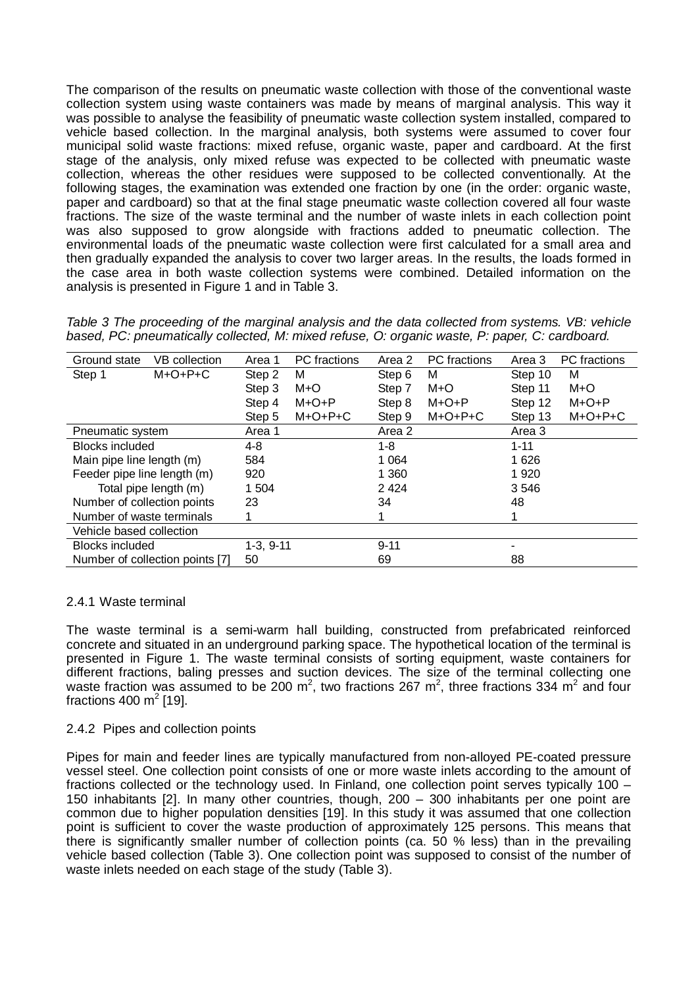The comparison of the results on pneumatic waste collection with those of the conventional waste collection system using waste containers was made by means of marginal analysis. This way it was possible to analyse the feasibility of pneumatic waste collection system installed, compared to vehicle based collection. In the marginal analysis, both systems were assumed to cover four municipal solid waste fractions: mixed refuse, organic waste, paper and cardboard. At the first stage of the analysis, only mixed refuse was expected to be collected with pneumatic waste collection, whereas the other residues were supposed to be collected conventionally. At the following stages, the examination was extended one fraction by one (in the order: organic waste, paper and cardboard) so that at the final stage pneumatic waste collection covered all four waste fractions. The size of the waste terminal and the number of waste inlets in each collection point was also supposed to grow alongside with fractions added to pneumatic collection. The environmental loads of the pneumatic waste collection were first calculated for a small area and then gradually expanded the analysis to cover two larger areas. In the results, the loads formed in the case area in both waste collection systems were combined. Detailed information on the analysis is presented in Figure 1 and in Table 3.

*Table 3 The proceeding of the marginal analysis and the data collected from systems. VB: vehicle based, PC: pneumatically collected, M: mixed refuse, O: organic waste, P: paper, C: cardboard.* 

| Ground state                | <b>VB</b> collection            | Area 1      | PC fractions | Area 2   | PC fractions | Area 3   | PC fractions |
|-----------------------------|---------------------------------|-------------|--------------|----------|--------------|----------|--------------|
| Step 1                      | $M+O+P+C$                       | Step 2      | м            | Step 6   | М            | Step 10  | м            |
|                             |                                 | Step 3      | M+O          | Step 7   | M+O          | Step 11  | M+O          |
|                             |                                 | Step 4      | $M + O + P$  | Step 8   | $M + O + P$  | Step 12  | $M + O + P$  |
|                             |                                 | Step 5      | $M+O+P+C$    | Step 9   | $M+O+P+C$    | Step 13  | $M+O+P+C$    |
| Pneumatic system            |                                 | Area 1      |              | Area 2   |              | Area 3   |              |
| <b>Blocks included</b>      |                                 | $4 - 8$     |              | $1 - 8$  |              | $1 - 11$ |              |
| Main pipe line length (m)   |                                 | 584         |              | 1 0 6 4  |              | 1 6 2 6  |              |
| Feeder pipe line length (m) |                                 | 920         |              | 1 3 6 0  |              | 1 9 2 0  |              |
|                             | Total pipe length (m)           | 1 504       |              | 2424     |              | 3546     |              |
| Number of collection points |                                 | 23          |              | 34       |              | 48       |              |
| Number of waste terminals   |                                 |             |              |          |              |          |              |
| Vehicle based collection    |                                 |             |              |          |              |          |              |
| <b>Blocks included</b>      |                                 | $1-3, 9-11$ |              | $9 - 11$ |              |          |              |
|                             | Number of collection points [7] | 50          |              | 69       |              | 88       |              |

### 2.4.1 Waste terminal

The waste terminal is a semi-warm hall building, constructed from prefabricated reinforced concrete and situated in an underground parking space. The hypothetical location of the terminal is presented in Figure 1. The waste terminal consists of sorting equipment, waste containers for different fractions, baling presses and suction devices. The size of the terminal collecting one waste fraction was assumed to be 200 m<sup>2</sup>, two fractions 267 m<sup>2</sup>, three fractions 334 m<sup>2</sup> and four fractions 400 m<sup>2</sup> [19].

#### 2.4.2 Pipes and collection points

Pipes for main and feeder lines are typically manufactured from non-alloyed PE-coated pressure vessel steel. One collection point consists of one or more waste inlets according to the amount of fractions collected or the technology used. In Finland, one collection point serves typically 100 – 150 inhabitants [2]. In many other countries, though, 200 – 300 inhabitants per one point are common due to higher population densities [19]. In this study it was assumed that one collection point is sufficient to cover the waste production of approximately 125 persons. This means that there is significantly smaller number of collection points (ca. 50 % less) than in the prevailing vehicle based collection (Table 3). One collection point was supposed to consist of the number of waste inlets needed on each stage of the study (Table 3).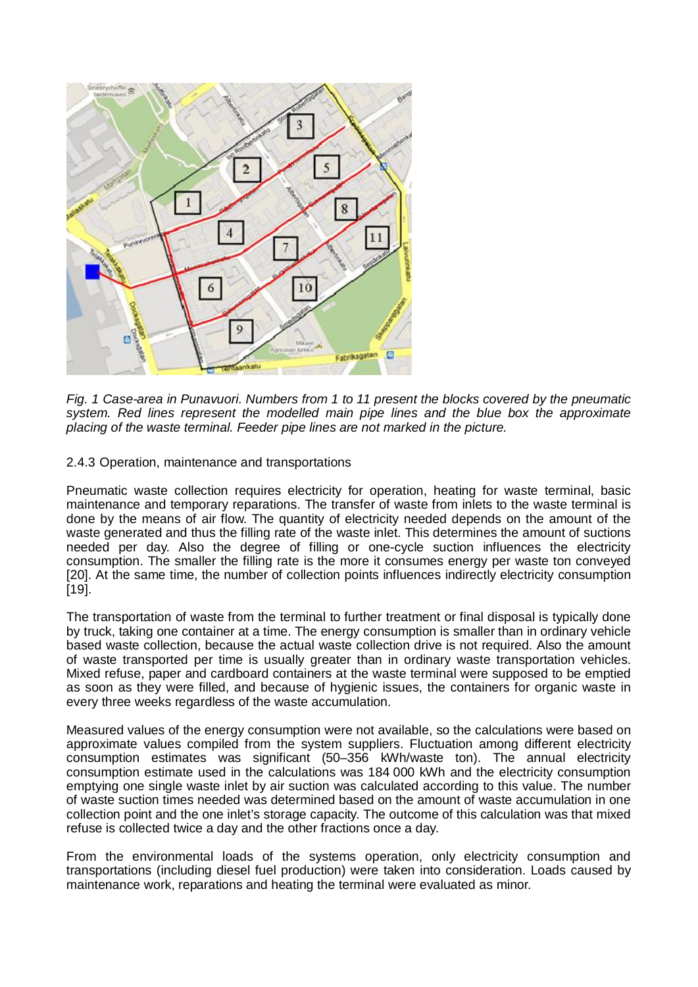

*Fig. 1 Case-area in Punavuori. Numbers from 1 to 11 present the blocks covered by the pneumatic system. Red lines represent the modelled main pipe lines and the blue box the approximate placing of the waste terminal. Feeder pipe lines are not marked in the picture.* 

2.4.3 Operation, maintenance and transportations

Pneumatic waste collection requires electricity for operation, heating for waste terminal, basic maintenance and temporary reparations. The transfer of waste from inlets to the waste terminal is done by the means of air flow. The quantity of electricity needed depends on the amount of the waste generated and thus the filling rate of the waste inlet. This determines the amount of suctions needed per day. Also the degree of filling or one-cycle suction influences the electricity consumption. The smaller the filling rate is the more it consumes energy per waste ton conveyed [20]. At the same time, the number of collection points influences indirectly electricity consumption [19].

The transportation of waste from the terminal to further treatment or final disposal is typically done by truck, taking one container at a time. The energy consumption is smaller than in ordinary vehicle based waste collection, because the actual waste collection drive is not required. Also the amount of waste transported per time is usually greater than in ordinary waste transportation vehicles. Mixed refuse, paper and cardboard containers at the waste terminal were supposed to be emptied as soon as they were filled, and because of hygienic issues, the containers for organic waste in every three weeks regardless of the waste accumulation.

Measured values of the energy consumption were not available, so the calculations were based on approximate values compiled from the system suppliers. Fluctuation among different electricity consumption estimates was significant (50–356 kWh/waste ton). The annual electricity consumption estimate used in the calculations was 184 000 kWh and the electricity consumption emptying one single waste inlet by air suction was calculated according to this value. The number of waste suction times needed was determined based on the amount of waste accumulation in one collection point and the one inlet's storage capacity. The outcome of this calculation was that mixed refuse is collected twice a day and the other fractions once a day.

From the environmental loads of the systems operation, only electricity consumption and transportations (including diesel fuel production) were taken into consideration. Loads caused by maintenance work, reparations and heating the terminal were evaluated as minor.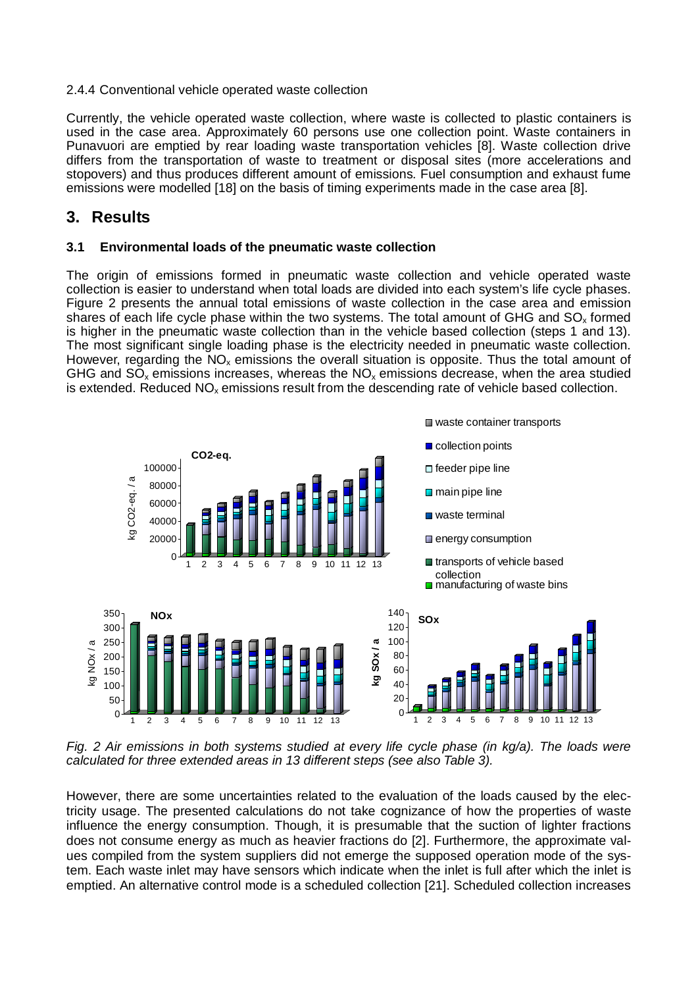#### 2.4.4 Conventional vehicle operated waste collection

Currently, the vehicle operated waste collection, where waste is collected to plastic containers is used in the case area. Approximately 60 persons use one collection point. Waste containers in Punavuori are emptied by rear loading waste transportation vehicles [8]. Waste collection drive differs from the transportation of waste to treatment or disposal sites (more accelerations and stopovers) and thus produces different amount of emissions. Fuel consumption and exhaust fume emissions were modelled [18] on the basis of timing experiments made in the case area [8].

## **3. Results**

### **3.1 Environmental loads of the pneumatic waste collection**

The origin of emissions formed in pneumatic waste collection and vehicle operated waste collection is easier to understand when total loads are divided into each system's life cycle phases. Figure 2 presents the annual total emissions of waste collection in the case area and emission shares of each life cycle phase within the two systems. The total amount of GHG and  $SO<sub>x</sub>$  formed is higher in the pneumatic waste collection than in the vehicle based collection (steps 1 and 13). The most significant single loading phase is the electricity needed in pneumatic waste collection. However, regarding the  $NO<sub>x</sub>$  emissions the overall situation is opposite. Thus the total amount of GHG and  $SO_x$  emissions increases, whereas the  $NO_x$  emissions decrease, when the area studied is extended. Reduced  $NO_x$  emissions result from the descending rate of vehicle based collection.



*Fig. 2 Air emissions in both systems studied at every life cycle phase (in kg/a). The loads were calculated for three extended areas in 13 different steps (see also Table 3).* 

However, there are some uncertainties related to the evaluation of the loads caused by the electricity usage. The presented calculations do not take cognizance of how the properties of waste influence the energy consumption. Though, it is presumable that the suction of lighter fractions does not consume energy as much as heavier fractions do [2]. Furthermore, the approximate values compiled from the system suppliers did not emerge the supposed operation mode of the system. Each waste inlet may have sensors which indicate when the inlet is full after which the inlet is emptied. An alternative control mode is a scheduled collection [21]. Scheduled collection increases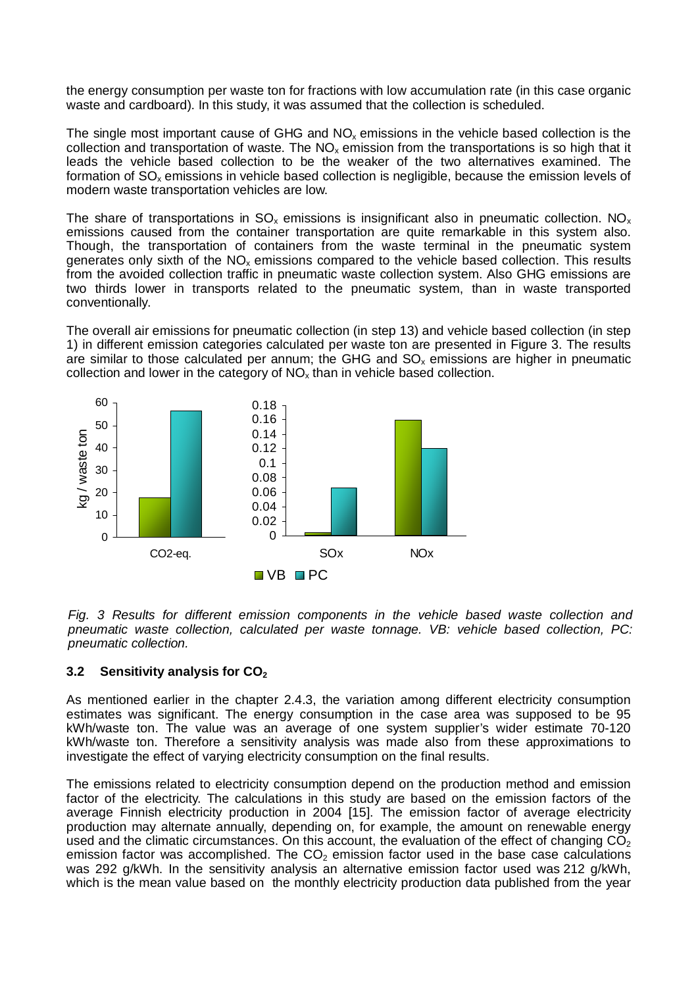the energy consumption per waste ton for fractions with low accumulation rate (in this case organic waste and cardboard). In this study, it was assumed that the collection is scheduled.

The single most important cause of GHG and  $NO<sub>x</sub>$  emissions in the vehicle based collection is the collection and transportation of waste. The  $NO<sub>x</sub>$  emission from the transportations is so high that it leads the vehicle based collection to be the weaker of the two alternatives examined. The formation of SO<sub>x</sub> emissions in vehicle based collection is negligible, because the emission levels of modern waste transportation vehicles are low.

The share of transportations in  $SO_x$  emissions is insignificant also in pneumatic collection. NO<sub>x</sub> emissions caused from the container transportation are quite remarkable in this system also. Though, the transportation of containers from the waste terminal in the pneumatic system generates only sixth of the  $NO<sub>x</sub>$  emissions compared to the vehicle based collection. This results from the avoided collection traffic in pneumatic waste collection system. Also GHG emissions are two thirds lower in transports related to the pneumatic system, than in waste transported conventionally.

The overall air emissions for pneumatic collection (in step 13) and vehicle based collection (in step 1) in different emission categories calculated per waste ton are presented in Figure 3. The results are similar to those calculated per annum; the GHG and  $SO<sub>x</sub>$  emissions are higher in pneumatic collection and lower in the category of  $NO<sub>x</sub>$  than in vehicle based collection.



*Fig. 3 Results for different emission components in the vehicle based waste collection and pneumatic waste collection, calculated per waste tonnage. VB: vehicle based collection, PC: pneumatic collection.* 

### **3.2 Sensitivity analysis for CO<sup>2</sup>**

As mentioned earlier in the chapter 2.4.3, the variation among different electricity consumption estimates was significant. The energy consumption in the case area was supposed to be 95 kWh/waste ton. The value was an average of one system supplier's wider estimate 70-120 kWh/waste ton. Therefore a sensitivity analysis was made also from these approximations to investigate the effect of varying electricity consumption on the final results.

The emissions related to electricity consumption depend on the production method and emission factor of the electricity. The calculations in this study are based on the emission factors of the average Finnish electricity production in 2004 [15]. The emission factor of average electricity production may alternate annually, depending on, for example, the amount on renewable energy used and the climatic circumstances. On this account, the evaluation of the effect of changing  $\overline{CO_2}$ emission factor was accomplished. The  $CO<sub>2</sub>$  emission factor used in the base case calculations was 292 g/kWh. In the sensitivity analysis an alternative emission factor used was 212 g/kWh, which is the mean value based on the monthly electricity production data published from the year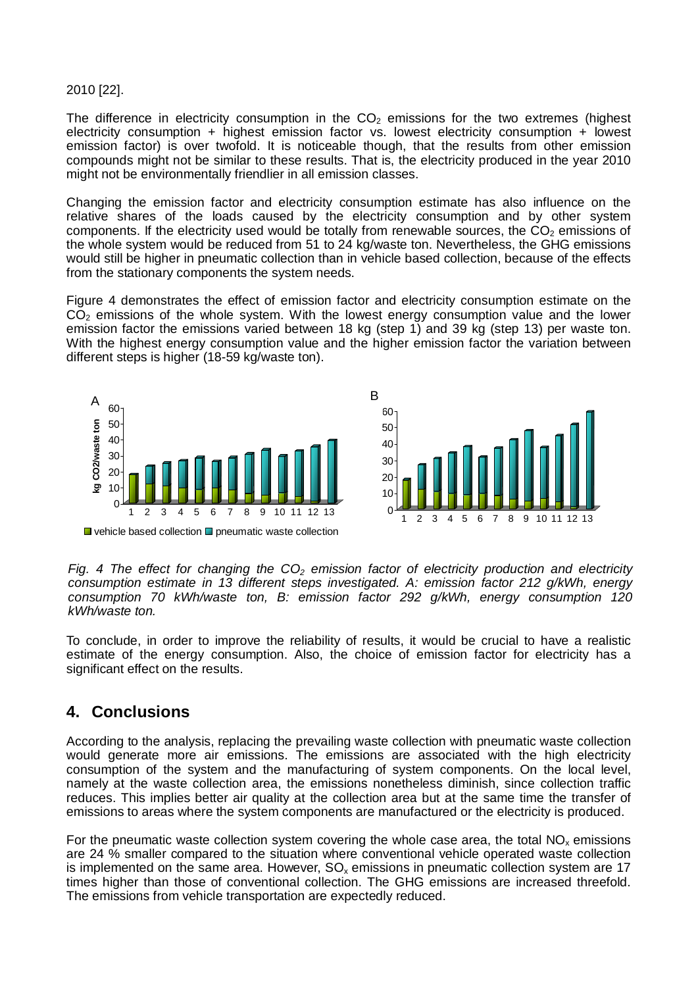#### 2010 [22].

The difference in electricity consumption in the  $CO<sub>2</sub>$  emissions for the two extremes (highest electricity consumption + highest emission factor vs. lowest electricity consumption + lowest emission factor) is over twofold. It is noticeable though, that the results from other emission compounds might not be similar to these results. That is, the electricity produced in the year 2010 might not be environmentally friendlier in all emission classes.

Changing the emission factor and electricity consumption estimate has also influence on the relative shares of the loads caused by the electricity consumption and by other system components. If the electricity used would be totally from renewable sources, the  $CO<sub>2</sub>$  emissions of the whole system would be reduced from 51 to 24 kg/waste ton. Nevertheless, the GHG emissions would still be higher in pneumatic collection than in vehicle based collection, because of the effects from the stationary components the system needs.

Figure 4 demonstrates the effect of emission factor and electricity consumption estimate on the  $C\tilde{O}_2$  emissions of the whole system. With the lowest energy consumption value and the lower emission factor the emissions varied between 18 kg (step 1) and 39 kg (step 13) per waste ton. With the highest energy consumption value and the higher emission factor the variation between different steps is higher (18-59 kg/waste ton).



 $\blacksquare$  vehicle based collection  $\blacksquare$  pneumatic waste collection

*Fig. 4 The effect for changing the CO<sup>2</sup> emission factor of electricity production and electricity consumption estimate in 13 different steps investigated. A: emission factor 212 g/kWh, energy consumption 70 kWh/waste ton, B: emission factor 292 g/kWh, energy consumption 120 kWh/waste ton.* 

To conclude, in order to improve the reliability of results, it would be crucial to have a realistic estimate of the energy consumption. Also, the choice of emission factor for electricity has a significant effect on the results.

# **4. Conclusions**

According to the analysis, replacing the prevailing waste collection with pneumatic waste collection would generate more air emissions. The emissions are associated with the high electricity consumption of the system and the manufacturing of system components. On the local level, namely at the waste collection area, the emissions nonetheless diminish, since collection traffic reduces. This implies better air quality at the collection area but at the same time the transfer of emissions to areas where the system components are manufactured or the electricity is produced.

For the pneumatic waste collection system covering the whole case area, the total  $NO<sub>x</sub>$  emissions are 24 % smaller compared to the situation where conventional vehicle operated waste collection is implemented on the same area. However,  $SO<sub>x</sub>$  emissions in pneumatic collection system are 17 times higher than those of conventional collection. The GHG emissions are increased threefold. The emissions from vehicle transportation are expectedly reduced.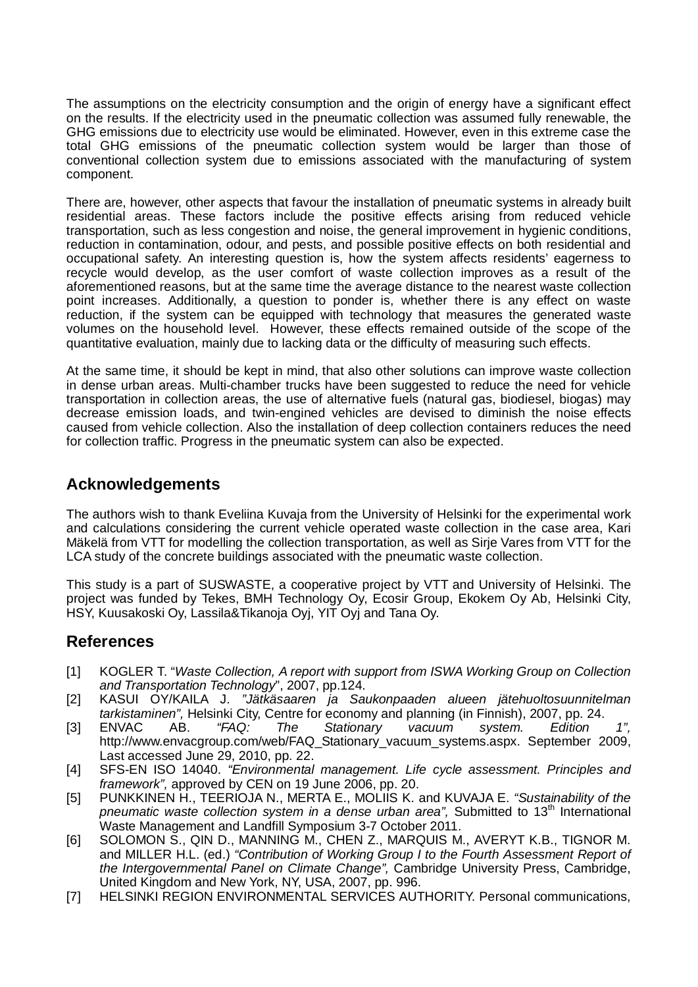The assumptions on the electricity consumption and the origin of energy have a significant effect on the results. If the electricity used in the pneumatic collection was assumed fully renewable, the GHG emissions due to electricity use would be eliminated. However, even in this extreme case the total GHG emissions of the pneumatic collection system would be larger than those of conventional collection system due to emissions associated with the manufacturing of system component.

There are, however, other aspects that favour the installation of pneumatic systems in already built residential areas. These factors include the positive effects arising from reduced vehicle transportation, such as less congestion and noise, the general improvement in hygienic conditions, reduction in contamination, odour, and pests, and possible positive effects on both residential and occupational safety. An interesting question is, how the system affects residents' eagerness to recycle would develop, as the user comfort of waste collection improves as a result of the aforementioned reasons, but at the same time the average distance to the nearest waste collection point increases. Additionally, a question to ponder is, whether there is any effect on waste reduction, if the system can be equipped with technology that measures the generated waste volumes on the household level. However, these effects remained outside of the scope of the quantitative evaluation, mainly due to lacking data or the difficulty of measuring such effects.

At the same time, it should be kept in mind, that also other solutions can improve waste collection in dense urban areas. Multi-chamber trucks have been suggested to reduce the need for vehicle transportation in collection areas, the use of alternative fuels (natural gas, biodiesel, biogas) may decrease emission loads, and twin-engined vehicles are devised to diminish the noise effects caused from vehicle collection. Also the installation of deep collection containers reduces the need for collection traffic. Progress in the pneumatic system can also be expected.

# **Acknowledgements**

The authors wish to thank Eveliina Kuvaja from the University of Helsinki for the experimental work and calculations considering the current vehicle operated waste collection in the case area, Kari Mäkelä from VTT for modelling the collection transportation, as well as Sirje Vares from VTT for the LCA study of the concrete buildings associated with the pneumatic waste collection.

This study is a part of SUSWASTE, a cooperative project by VTT and University of Helsinki. The project was funded by Tekes, BMH Technology Oy, Ecosir Group, Ekokem Oy Ab, Helsinki City, HSY, Kuusakoski Oy, Lassila&Tikanoja Oyj, YIT Oyj and Tana Oy.

# **References**

- [1] KOGLER T. "*Waste Collection, A report with support from ISWA Working Group on Collection and Transportation Technology*", 2007, pp.124.
- [2] KASUI OY/KAILA J. *"Jätkäsaaren ja Saukonpaaden alueen jätehuoltosuunnitelman tarkistaminen",* Helsinki City, Centre for economy and planning (in Finnish), 2007, pp. 24.
- [3] ENVAC AB. *"FAQ: The Stationary vacuum system. Edition 1",* http://www.envacgroup.com/web/FAQ\_Stationary\_vacuum\_systems.aspx. September 2009, Last accessed June 29, 2010, pp. 22.
- [4] SFS-EN ISO 14040. *"Environmental management. Life cycle assessment. Principles and framework",* approved by CEN on 19 June 2006, pp. 20.
- [5] PUNKKINEN H., TEERIOJA N., MERTA E., MOLIIS K. and KUVAJA E. *"Sustainability of the pneumatic waste collection system in a dense urban area",* Submitted to 13<sup>th</sup> International Waste Management and Landfill Symposium 3-7 October 2011.
- [6] SOLOMON S., QIN D., MANNING M., CHEN Z., MARQUIS M., AVERYT K.B., TIGNOR M. and MILLER H.L. (ed.) *"Contribution of Working Group I to the Fourth Assessment Report of the Intergovernmental Panel on Climate Change",* Cambridge University Press, Cambridge, United Kingdom and New York, NY, USA, 2007, pp. 996.
- [7] HELSINKI REGION ENVIRONMENTAL SERVICES AUTHORITY. Personal communications,